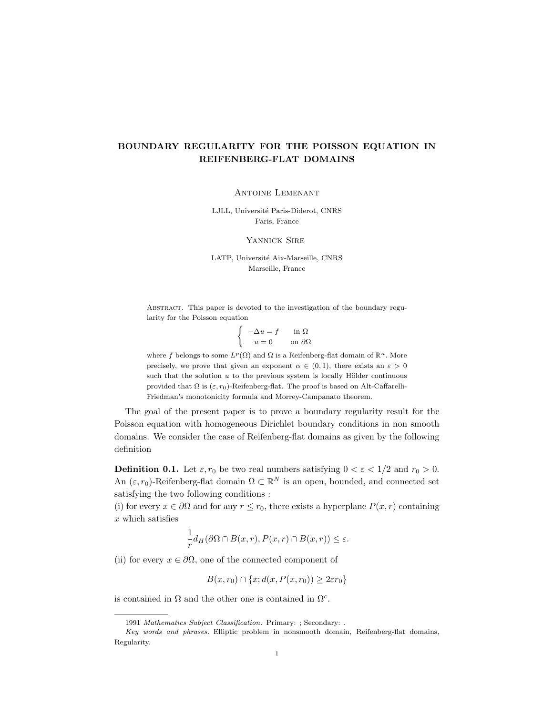## BOUNDARY REGULARITY FOR THE POISSON EQUATION IN REIFENBERG-FLAT DOMAINS

Antoine Lemenant

LJLL, Université Paris-Diderot, CNRS Paris, France

YANNICK SIRE

LATP, Université Aix-Marseille, CNRS Marseille, France

Abstract. This paper is devoted to the investigation of the boundary regularity for the Poisson equation

> $\int -\Delta u = f$  in  $\Omega$  $u = 0$  on  $\partial\Omega$

where f belongs to some  $L^p(\Omega)$  and  $\Omega$  is a Reifenberg-flat domain of  $\mathbb{R}^n$ . More precisely, we prove that given an exponent  $\alpha \in (0,1)$ , there exists an  $\varepsilon > 0$ such that the solution  $u$  to the previous system is locally Hölder continuous provided that  $\Omega$  is  $(\varepsilon, r_0)$ -Reifenberg-flat. The proof is based on Alt-Caffarelli-Friedman's monotonicity formula and Morrey-Campanato theorem.

The goal of the present paper is to prove a boundary regularity result for the Poisson equation with homogeneous Dirichlet boundary conditions in non smooth domains. We consider the case of Reifenberg-flat domains as given by the following definition

**Definition 0.1.** Let  $\varepsilon, r_0$  be two real numbers satisfying  $0 < \varepsilon < 1/2$  and  $r_0 > 0$ . An  $(\varepsilon, r_0)$ -Reifenberg-flat domain  $\Omega \subset \mathbb{R}^N$  is an open, bounded, and connected set satisfying the two following conditions :

(i) for every  $x \in \partial\Omega$  and for any  $r \leq r_0$ , there exists a hyperplane  $P(x, r)$  containing  $x$  which satisfies

$$
\frac{1}{r}d_H(\partial\Omega \cap B(x,r), P(x,r) \cap B(x,r)) \leq \varepsilon.
$$

(ii) for every  $x \in \partial \Omega$ , one of the connected component of

 $B(x, r_0) \cap \{x; d(x, P(x, r_0)) \geq 2\varepsilon r_0\}$ 

is contained in  $\Omega$  and the other one is contained in  $\Omega^c$ .

<sup>1991</sup> Mathematics Subject Classification. Primary: ; Secondary: . Key words and phrases. Elliptic problem in nonsmooth domain, Reifenberg-flat domains, Regularity.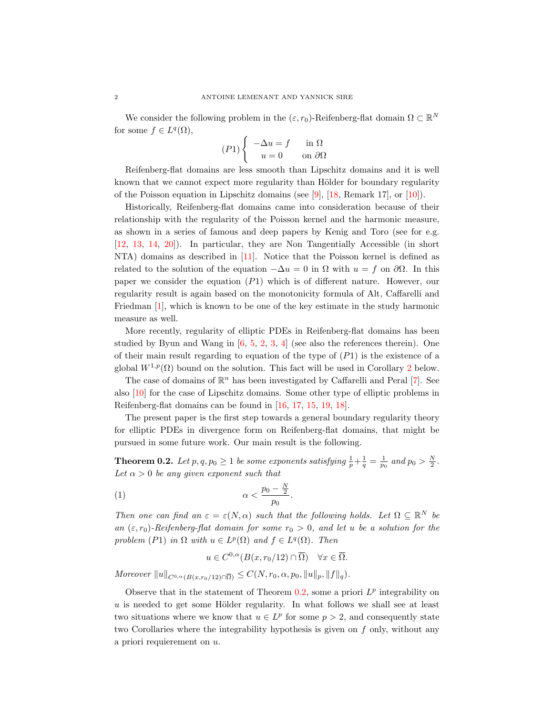We consider the following problem in the  $(\varepsilon, r_0)$ -Reifenberg-flat domain  $\Omega \subset \mathbb{R}^N$ for some  $f \in L^q(\Omega)$ ,

$$
(P1)\begin{cases}\n-\Delta u = f & \text{in } \Omega \\
u = 0 & \text{on } \partial\Omega\n\end{cases}
$$

Reifenberg-flat domains are less smooth than Lipschitz domains and it is well known that we cannot expect more regularity than Hölder for boundary regularity of the Poisson equation in Lipschitz domains (see [\[9\]](#page-15-0), [\[18,](#page-15-1) Remark 17], or [\[10\]](#page-15-2)).

Historically, Reifenberg-flat domains came into consideration because of their relationship with the regularity of the Poisson kernel and the harmonic measure, as shown in a series of famous and deep papers by Kenig and Toro (see for e.g. [\[12,](#page-15-3) [13,](#page-15-4) [14,](#page-15-5) [20\]](#page-15-6)). In particular, they are Non Tangentially Accessible (in short NTA) domains as described in [\[11\]](#page-15-7). Notice that the Poisson kernel is defined as related to the solution of the equation  $-\Delta u = 0$  in  $\Omega$  with  $u = f$  on  $\partial \Omega$ . In this paper we consider the equation  $(P1)$  which is of different nature. However, our regularity result is again based on the monotonicity formula of Alt, Caffarelli and Friedman [\[1\]](#page-15-8), which is known to be one of the key estimate in the study harmonic measure as well.

More recently, regularity of elliptic PDEs in Reifenberg-flat domains has been studied by Byun and Wang in  $[6, 5, 2, 3, 4]$  $[6, 5, 2, 3, 4]$  $[6, 5, 2, 3, 4]$  $[6, 5, 2, 3, 4]$  $[6, 5, 2, 3, 4]$  $[6, 5, 2, 3, 4]$  $[6, 5, 2, 3, 4]$  $[6, 5, 2, 3, 4]$  $[6, 5, 2, 3, 4]$  (see also the references therein). One of their main result regarding to equation of the type of  $(P1)$  is the existence of a global  $W^{1,p}(\Omega)$  bound on the solution. This fact will be used in Corollary [2](#page-3-0) below.

The case of domains of  $\mathbb{R}^n$  has been investigated by Caffarelli and Peral [\[7\]](#page-15-14). See also [\[10\]](#page-15-2) for the case of Lipschitz domains. Some other type of elliptic problems in Reifenberg-flat domains can be found in [\[16,](#page-15-15) [17,](#page-15-16) [15,](#page-15-17) [19,](#page-15-18) [18\]](#page-15-1).

The present paper is the first step towards a general boundary regularity theory for elliptic PDEs in divergence form on Reifenberg-flat domains, that might be pursued in some future work. Our main result is the following.

<span id="page-1-0"></span>**Theorem 0.2.** Let  $p, q, p_0 \geq 1$  be some exponents satisfying  $\frac{1}{p} + \frac{1}{q} = \frac{1}{p_0}$  and  $p_0 > \frac{N}{2}$ . Let  $\alpha > 0$  be any given exponent such that

$$
\alpha < \frac{p_0 - \frac{N}{2}}{p_0}.
$$

Then one can find an  $\varepsilon = \varepsilon(N, \alpha)$  such that the following holds. Let  $\Omega \subseteq \mathbb{R}^N$  be an  $(\varepsilon, r_0)$ -Reifenberg-flat domain for some  $r_0 > 0$ , and let u be a solution for the problem (P1) in  $\Omega$  with  $u \in L^p(\Omega)$  and  $f \in L^q(\Omega)$ . Then

$$
u \in C^{0,\alpha}(B(x,r_0/12) \cap \overline{\Omega}) \quad \forall x \in \overline{\Omega}.
$$

 $Moreover \|u\|_{C^{0,\alpha}(B(x,r_0/12)\cap\overline{\Omega})} \leq C(N,r_0,\alpha,p_0, \|u\|_p, \|f\|_q).$ 

Observe that in the statement of Theorem  $0.2$ , some a priori  $L^p$  integrability on  $u$  is needed to get some Hölder regularity. In what follows we shall see at least two situations where we know that  $u \in L^p$  for some  $p > 2$ , and consequently state two Corollaries where the integrability hypothesis is given on f only, without any a priori requierement on u.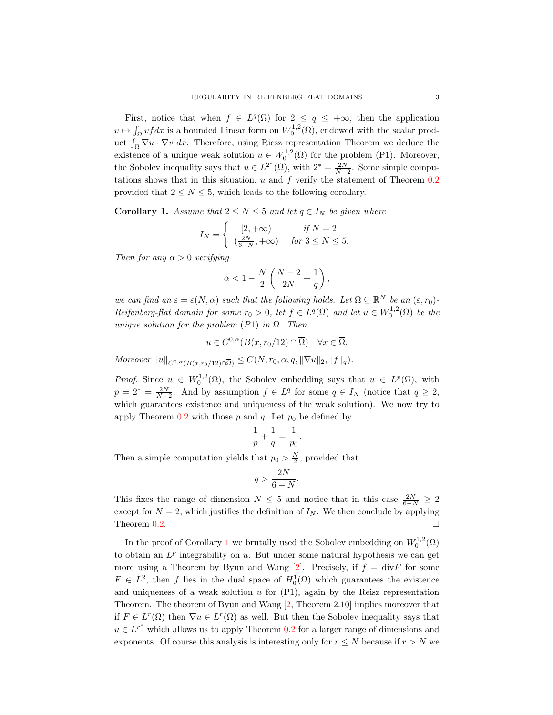First, notice that when  $f \in L^q(\Omega)$  for  $2 \le q \le +\infty$ , then the application  $v \mapsto \int_{\Omega} v f dx$  is a bounded Linear form on  $W_0^{1,2}(\Omega)$ , endowed with the scalar product  $\int_{\Omega} \nabla u \cdot \nabla v \, dx$ . Therefore, using Riesz representation Theorem we deduce the existence of a unique weak solution  $u \in W_0^{1,2}(\Omega)$  for the problem (P1). Moreover, the Sobolev inequality says that  $u \in L^{2^*}(\Omega)$ , with  $2^* = \frac{2N}{N-2}$ . Some simple computations shows that in this situation,  $u$  and  $f$  verify the statement of Theorem  $0.2$ provided that  $2 \leq N \leq 5$ , which leads to the following corollary.

<span id="page-2-0"></span>**Corollary 1.** Assume that  $2 \leq N \leq 5$  and let  $q \in I_N$  be given where

$$
I_N = \begin{cases} [2, +\infty) & \text{if } N = 2\\ \left(\frac{2N}{6-N}, +\infty\right) & \text{for } 3 \le N \le 5. \end{cases}
$$

Then for any  $\alpha > 0$  verifying

$$
\alpha<1-\frac{N}{2}\left(\frac{N-2}{2N}+\frac{1}{q}\right),
$$

we can find an  $\varepsilon = \varepsilon(N, \alpha)$  such that the following holds. Let  $\Omega \subseteq \mathbb{R}^N$  be an  $(\varepsilon, r_0)$ -Reifenberg-flat domain for some  $r_0 > 0$ , let  $f \in L^q(\Omega)$  and let  $u \in W_0^{1,2}(\Omega)$  be the unique solution for the problem  $(P1)$  in  $\Omega$ . Then

$$
u \in C^{0,\alpha}(B(x,r_0/12) \cap \overline{\Omega}) \quad \forall x \in \overline{\Omega}.
$$

Moreover  $||u||_{C^{0,\alpha}(B(x,r_0/12)\cap\overline{\Omega})} \leq C(N,r_0,\alpha,q,\|\nabla u\|_2,\|f\|_q).$ 

*Proof.* Since  $u \in W_0^{1,2}(\Omega)$ , the Sobolev embedding says that  $u \in L^p(\Omega)$ , with  $p = 2^* = \frac{2N}{N-2}$ . And by assumption  $f \in L^q$  for some  $q \in I_N$  (notice that  $q \geq 2$ , which guarantees existence and uniqueness of the weak solution). We now try to apply Theorem  $0.2$  with those p and q. Let  $p_0$  be defined by

$$
\frac{1}{p} + \frac{1}{q} = \frac{1}{p_0}
$$

.

Then a simple computation yields that  $p_0 > \frac{N}{2}$ , provided that

$$
q > \frac{2N}{6-N}.
$$

This fixes the range of dimension  $N \leq 5$  and notice that in this case  $\frac{2N}{6-N} \geq 2$ except for  $N = 2$ , which justifies the definition of  $I_N$ . We then conclude by applying Theorem [0.2.](#page-1-0)

In the proof of Corollary [1](#page-2-0) we brutally used the Sobolev embedding on  $W_0^{1,2}(\Omega)$ to obtain an  $L^p$  integrability on u. But under some natural hypothesis we can get more using a Theorem by Byun and Wang [\[2\]](#page-15-11). Precisely, if  $f = \text{div} F$  for some  $F \in L^2$ , then f lies in the dual space of  $H_0^1(\Omega)$  which guarantees the existence and uniqueness of a weak solution  $u$  for  $(P1)$ , again by the Reisz representation Theorem. The theorem of Byun and Wang [\[2,](#page-15-11) Theorem 2.10] implies moreover that if  $F \in L^r(\Omega)$  then  $\nabla u \in L^r(\Omega)$  as well. But then the Sobolev inequality says that  $u \in L^{r^*}$  which allows us to apply Theorem [0.2](#page-1-0) for a larger range of dimensions and exponents. Of course this analysis is interesting only for  $r \leq N$  because if  $r > N$  we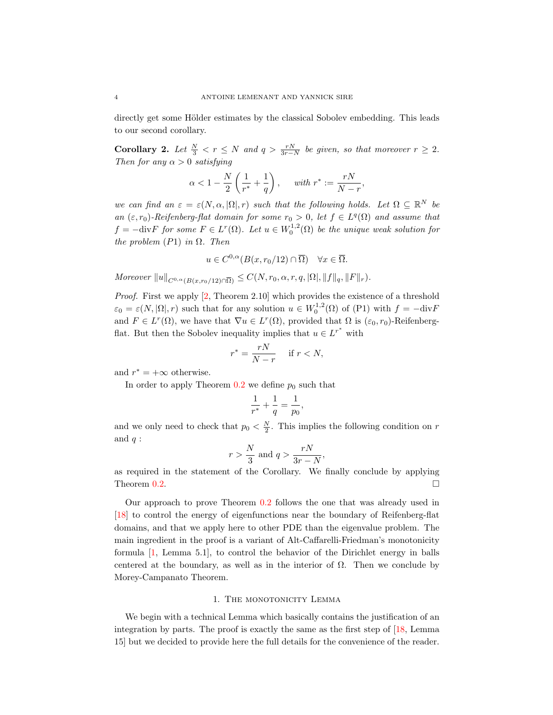directly get some Hölder estimates by the classical Sobolev embedding. This leads to our second corollary.

<span id="page-3-0"></span>**Corollary 2.** Let  $\frac{N}{3} < r \leq N$  and  $q > \frac{rN}{3r-N}$  be given, so that moreover  $r \geq 2$ . Then for any  $\alpha > 0$  satisfying

$$
\alpha < 1 - \frac{N}{2} \left( \frac{1}{r^*} + \frac{1}{q} \right), \quad \text{ with } r^* := \frac{rN}{N-r},
$$

we can find an  $\varepsilon = \varepsilon(N, \alpha, |\Omega|, r)$  such that the following holds. Let  $\Omega \subseteq \mathbb{R}^N$  be an  $(\varepsilon, r_0)$ -Reifenberg-flat domain for some  $r_0 > 0$ , let  $f \in L^q(\Omega)$  and assume that  $f = -\text{div}F$  for some  $F \in L^r(\Omega)$ . Let  $u \in W_0^{1,2}(\Omega)$  be the unique weak solution for the problem  $(P1)$  in  $\Omega$ . Then

$$
u \in C^{0,\alpha}(B(x,r_0/12) \cap \overline{\Omega}) \quad \forall x \in \overline{\Omega}.
$$

Moreover  $||u||_{C^{0,\alpha}(B(x,r_0/12)\cap\overline{\Omega})} \leq C(N,r_0,\alpha,r,q, |\Omega|, ||f||_q, ||F||_r).$ 

Proof. First we apply [\[2,](#page-15-11) Theorem 2.10] which provides the existence of a threshold  $\varepsilon_0 = \varepsilon(N, |\Omega|, r)$  such that for any solution  $u \in W_0^{1,2}(\Omega)$  of (P1) with  $f = -\text{div}F$ and  $F \in L^r(\Omega)$ , we have that  $\nabla u \in L^r(\Omega)$ , provided that  $\Omega$  is  $(\varepsilon_0, r_0)$ -Reifenbergflat. But then the Sobolev inequality implies that  $u \in L^{r^*}$  with

$$
r^* = \frac{rN}{N-r} \quad \text{ if } r < N,
$$

and  $r^* = +\infty$  otherwise.

In order to apply Theorem  $0.2$  we define  $p_0$  such that

$$
\frac{1}{r^*} + \frac{1}{q} = \frac{1}{p_0},
$$

and we only need to check that  $p_0 < \frac{N}{2}$ . This implies the following condition on r and  $q$  :

$$
r > \frac{N}{3} \text{ and } q > \frac{rN}{3r - N},
$$

as required in the statement of the Corollary. We finally conclude by applying Theorem  $0.2$ .

Our approach to prove Theorem [0.2](#page-1-0) follows the one that was already used in [\[18\]](#page-15-1) to control the energy of eigenfunctions near the boundary of Reifenberg-flat domains, and that we apply here to other PDE than the eigenvalue problem. The main ingredient in the proof is a variant of Alt-Caffarelli-Friedman's monotonicity formula [\[1,](#page-15-8) Lemma 5.1], to control the behavior of the Dirichlet energy in balls centered at the boundary, as well as in the interior of  $\Omega$ . Then we conclude by Morey-Campanato Theorem.

#### 1. THE MONOTONICITY LEMMA

We begin with a technical Lemma which basically contains the justification of an integration by parts. The proof is exactly the same as the first step of [\[18,](#page-15-1) Lemma 15] but we decided to provide here the full details for the convenience of the reader.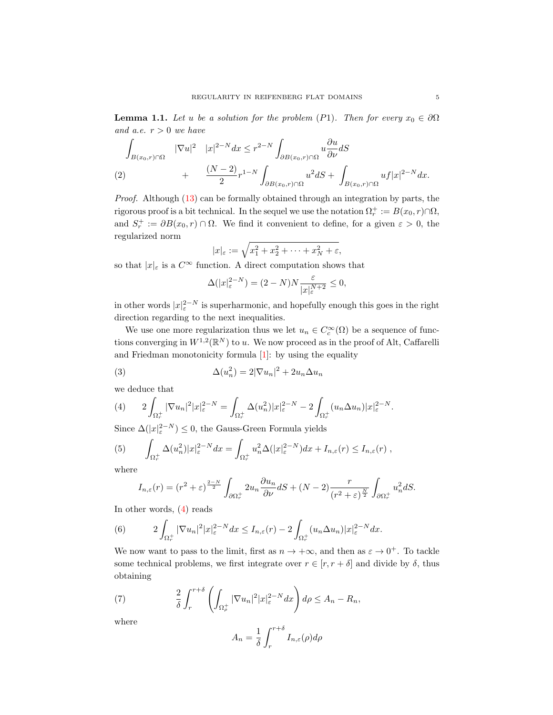<span id="page-4-2"></span>**Lemma 1.1.** Let u be a solution for the problem (P1). Then for every  $x_0 \in \partial\Omega$ and a.e.  $r > 0$  we have

$$
\int_{B(x_0,r)\cap\Omega} |\nabla u|^2 |x|^{2-N} dx \le r^{2-N} \int_{\partial B(x_0,r)\cap\Omega} u \frac{\partial u}{\partial \nu} dS
$$
\n
$$
(2) + \frac{(N-2)}{2} r^{1-N} \int_{\partial B(x_0,r)\cap\Omega} u^2 dS + \int_{B(x_0,r)\cap\Omega} uf |x|^{2-N} dx.
$$

Proof. Although [\(13\)](#page-7-0) can be formally obtained through an integration by parts, the rigorous proof is a bit technical. In the sequel we use the notation  $\Omega_r^+ := B(x_0, r) \cap \Omega$ , and  $S_r^+ := \partial B(x_0, r) \cap \Omega$ . We find it convenient to define, for a given  $\varepsilon > 0$ , the regularized norm

$$
|x|_{\varepsilon} := \sqrt{x_1^2 + x_2^2 + \dots + x_N^2 + \varepsilon},
$$

so that  $|x|_{\varepsilon}$  is a  $C^{\infty}$  function. A direct computation shows that

$$
\Delta(|x|_{\varepsilon}^{2-N}) = (2-N)N \frac{\varepsilon}{|x|_{\varepsilon}^{N+2}} \le 0,
$$

in other words  $|x|_{\varepsilon}^{2-N}$  is superharmonic, and hopefully enough this goes in the right direction regarding to the next inequalities.

We use one more regularization thus we let  $u_n \in C_c^{\infty}(\Omega)$  be a sequence of functions converging in  $W^{1,2}(\mathbb{R}^N)$  to u. We now proceed as in the proof of Alt, Caffarelli and Friedman monotonicity formula  $[1]$ : by using the equality

(3) 
$$
\Delta(u_n^2) = 2|\nabla u_n|^2 + 2u_n \Delta u_n
$$

we deduce that

<span id="page-4-0"></span>
$$
(4) \qquad 2\int_{\Omega_{r}^{+}} |\nabla u_{n}|^{2} |x|_{\varepsilon}^{2-N} = \int_{\Omega_{r}^{+}} \Delta(u_{n}^{2}) |x|_{\varepsilon}^{2-N} - 2 \int_{\Omega_{r}^{+}} (u_{n} \Delta u_{n}) |x|_{\varepsilon}^{2-N}.
$$

Since  $\Delta(|x|_{\varepsilon}^{2-N}) \leq 0$ , the Gauss-Green Formula yields

(5) 
$$
\int_{\Omega_r^+} \Delta(u_n^2)|x|_{\varepsilon}^{2-N} dx = \int_{\Omega_r^+} u_n^2 \Delta(|x|_{\varepsilon}^{2-N}) dx + I_{n,\varepsilon}(r) \leq I_{n,\varepsilon}(r) ,
$$

where

$$
I_{n,\varepsilon}(r) = (r^2 + \varepsilon)^{\frac{2-N}{2}} \int_{\partial \Omega_r^+} 2u_n \frac{\partial u_n}{\partial \nu} dS + (N-2) \frac{r}{(r^2 + \varepsilon)^{\frac{N}{2}}} \int_{\partial \Omega_r^+} u_n^2 dS.
$$

In other words, [\(4\)](#page-4-0) reads

(6) 
$$
2\int_{\Omega_r^+} |\nabla u_n|^2 |x|_{\varepsilon}^{2-N} dx \leq I_{n,\varepsilon}(r) - 2\int_{\Omega_r^+} (u_n \Delta u_n) |x|_{\varepsilon}^{2-N} dx.
$$

We now want to pass to the limit, first as  $n \to +\infty$ , and then as  $\varepsilon \to 0^+$ . To tackle some technical problems, we first integrate over  $r \in [r, r + \delta]$  and divide by  $\delta$ , thus obtaining

(7) 
$$
\frac{2}{\delta} \int_{r}^{r+\delta} \left( \int_{\Omega_{\rho}^{+}} |\nabla u_{n}|^{2} |x|_{\varepsilon}^{2-N} dx \right) d\rho \leq A_{n} - R_{n},
$$

where

<span id="page-4-1"></span>
$$
A_n = \frac{1}{\delta} \int_r^{r+\delta} I_{n,\varepsilon}(\rho) d\rho
$$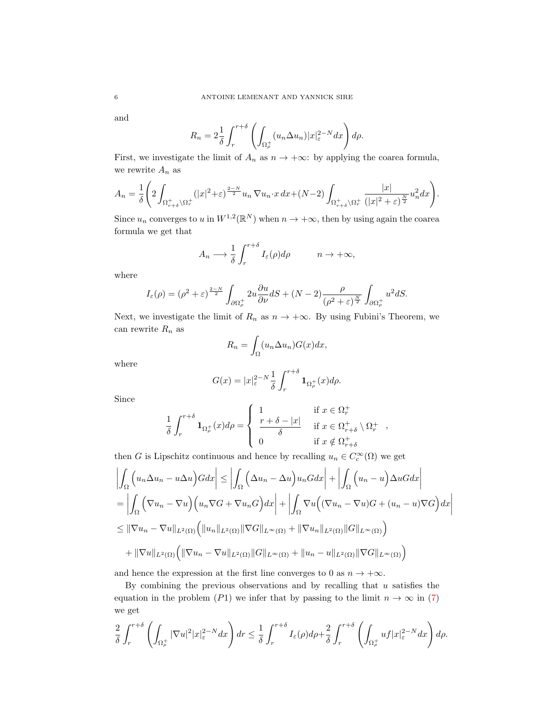and

$$
R_n = 2\frac{1}{\delta} \int_r^{r+\delta} \left( \int_{\Omega_\rho^+} (u_n \Delta u_n) |x|_{\varepsilon}^{2-N} dx \right) d\rho.
$$

First, we investigate the limit of  $A_n$  as  $n \to +\infty$ : by applying the coarea formula, we rewrite  $A_n$  as

$$
A_n = \frac{1}{\delta} \left( 2 \int_{\Omega_{r+\delta}^+ \backslash \Omega_r^+} (|x|^2 + \varepsilon)^{\frac{2-N}{2}} u_n \nabla u_n \cdot x \, dx + (N-2) \int_{\Omega_{r+\delta}^+ \backslash \Omega_r^+} \frac{|x|}{(|x|^2 + \varepsilon)^{\frac{N}{2}}} u_n^2 dx \right).
$$

Since  $u_n$  converges to u in  $W^{1,2}(\mathbb{R}^N)$  when  $n \to +\infty$ , then by using again the coarea formula we get that

$$
A_n \longrightarrow \frac{1}{\delta} \int_r^{r+\delta} I_{\varepsilon}(\rho) d\rho \qquad n \to +\infty,
$$

where

$$
I_{\varepsilon}(\rho) = (\rho^2 + \varepsilon)^{\frac{2-N}{2}} \int_{\partial \Omega_{\rho}^+} 2u \frac{\partial u}{\partial \nu} dS + (N-2) \frac{\rho}{(\rho^2 + \varepsilon)^{\frac{N}{2}}} \int_{\partial \Omega_{\rho}^+} u^2 dS.
$$

Next, we investigate the limit of  $R_n$  as  $n \to +\infty$ . By using Fubini's Theorem, we can rewrite  $\mathcal{R}_n$  as

$$
R_n = \int_{\Omega} (u_n \Delta u_n) G(x) dx,
$$

where

$$
G(x) = |x|_{\varepsilon}^{2-N} \frac{1}{\delta} \int_{r}^{r+\delta} \mathbf{1}_{\Omega_{\rho}^{+}}(x) d\rho.
$$

Since

$$
\frac{1}{\delta}\int_r^{r+\delta}{\bf 1}_{\Omega_\rho^+}(x)d\rho = \left\{ \begin{array}{ll} 1 & \mbox{if $x\in\Omega_r^+$} \\ \frac{r+\delta-|x|}{\delta} & \mbox{if $x\in\Omega_{r+\delta}^+$}\smallsetminus \Omega_r^+ \\ 0 & \mbox{if $x\notin\Omega_{r+\delta}^+$} \end{array} \right.,
$$

then G is Lipschitz continuous and hence by recalling  $u_n \in C_c^{\infty}(\Omega)$  we get

$$
\left| \int_{\Omega} \left( u_n \Delta u_n - u \Delta u \right) G dx \right| \leq \left| \int_{\Omega} \left( \Delta u_n - \Delta u \right) u_n G dx \right| + \left| \int_{\Omega} \left( u_n - u \right) \Delta u G dx \right|
$$
  
\n
$$
= \left| \int_{\Omega} \left( \nabla u_n - \nabla u \right) \left( u_n \nabla G + \nabla u_n G \right) dx \right| + \left| \int_{\Omega} \nabla u \left( (\nabla u_n - \nabla u) G + (u_n - u) \nabla G \right) dx \right|
$$
  
\n
$$
\leq ||\nabla u_n - \nabla u||_{L^2(\Omega)} \left( ||u_n||_{L^2(\Omega)} ||\nabla G||_{L^\infty(\Omega)} + ||\nabla u_n||_{L^2(\Omega)} ||G||_{L^\infty(\Omega)} \right)
$$
  
\n
$$
+ ||\nabla u||_{L^2(\Omega)} \left( ||\nabla u_n - \nabla u||_{L^2(\Omega)} ||G||_{L^\infty(\Omega)} + ||u_n - u||_{L^2(\Omega)} ||\nabla G||_{L^\infty(\Omega)} \right)
$$

and hence the expression at the first line converges to 0 as  $n \to +\infty$ .

By combining the previous observations and by recalling that  $u$  satisfies the equation in the problem (P1) we infer that by passing to the limit  $n \to \infty$  in [\(7\)](#page-4-1) we get

$$
\frac{2}{\delta} \int_r^{r+\delta} \left( \int_{\Omega_\rho^+} |\nabla u|^2 |x|_{\varepsilon}^{2-N} dx \right) dr \le \frac{1}{\delta} \int_r^{r+\delta} I_\varepsilon(\rho) d\rho + \frac{2}{\delta} \int_r^{r+\delta} \left( \int_{\Omega_\rho^+} u f |x|_{\varepsilon}^{2-N} dx \right) d\rho.
$$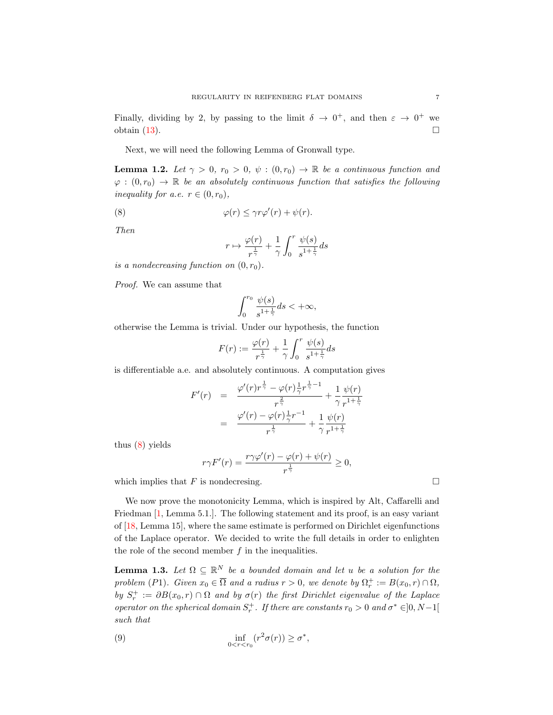Finally, dividing by 2, by passing to the limit  $\delta \to 0^+$ , and then  $\varepsilon \to 0^+$  we obtain [\(13\)](#page-7-0).

Next, we will need the following Lemma of Gronwall type.

<span id="page-6-1"></span>**Lemma 1.2.** Let  $\gamma > 0$ ,  $r_0 > 0$ ,  $\psi : (0, r_0) \to \mathbb{R}$  be a continuous function and  $\varphi: (0,r_0) \to \mathbb{R}$  be an absolutely continuous function that satisfies the following inequality for a.e.  $r \in (0, r_0)$ ,

(8) 
$$
\varphi(r) \leq \gamma r \varphi'(r) + \psi(r).
$$

Then

<span id="page-6-0"></span>
$$
r \mapsto \frac{\varphi(r)}{r^{\frac{1}{\gamma}}} + \frac{1}{\gamma} \int_0^r \frac{\psi(s)}{s^{1 + \frac{1}{\gamma}}} ds
$$

is a nondecreasing function on  $(0, r_0)$ .

Proof. We can assume that

$$
\int_0^{r_0} \frac{\psi(s)}{s^{1+\frac{1}{\gamma}}} ds < +\infty,
$$

otherwise the Lemma is trivial. Under our hypothesis, the function

$$
F(r) := \frac{\varphi(r)}{r^{\frac{1}{\gamma}}} + \frac{1}{\gamma} \int_0^r \frac{\psi(s)}{s^{1 + \frac{1}{\gamma}}} ds
$$

is differentiable a.e. and absolutely continuous. A computation gives

<span id="page-6-3"></span>
$$
F'(r) = \frac{\varphi'(r)r^{\frac{1}{\gamma}} - \varphi(r)\frac{1}{\gamma}r^{\frac{1}{\gamma}-1}}{r^{\frac{2}{\gamma}}} + \frac{1}{\gamma}\frac{\psi(r)}{r^{1+\frac{1}{\gamma}}}
$$
  
= 
$$
\frac{\varphi'(r) - \varphi(r)\frac{1}{\gamma}r^{-1}}{r^{\frac{1}{\gamma}}} + \frac{1}{\gamma}\frac{\psi(r)}{r^{1+\frac{1}{\gamma}}}
$$

thus [\(8\)](#page-6-0) yields

$$
r\gamma F'(r) = \frac{r\gamma\varphi'(r) - \varphi(r) + \psi(r)}{r^{\frac{1}{\gamma}}} \ge 0,
$$

which implies that  $F$  is nondecresing.  $\Box$ 

We now prove the monotonicity Lemma, which is inspired by Alt, Caffarelli and Friedman [\[1,](#page-15-8) Lemma 5.1.]. The following statement and its proof, is an easy variant of [\[18,](#page-15-1) Lemma 15], where the same estimate is performed on Dirichlet eigenfunctions of the Laplace operator. We decided to write the full details in order to enlighten the role of the second member  $f$  in the inequalities.

<span id="page-6-2"></span>**Lemma 1.3.** Let  $\Omega \subseteq \mathbb{R}^N$  be a bounded domain and let u be a solution for the problem (P1). Given  $x_0 \in \overline{\Omega}$  and a radius  $r > 0$ , we denote by  $\Omega_r^+ := B(x_0, r) \cap \Omega$ , by  $S_r^+ := \partial B(x_0, r) \cap \Omega$  and by  $\sigma(r)$  the first Dirichlet eigenvalue of the Laplace operator on the spherical domain  $S_r^+$ . If there are constants  $r_0 > 0$  and  $\sigma^* \in ]0, N-1[$ such that

(9) 
$$
\inf_{0 < r < r_0} (r^2 \sigma(r)) \ge \sigma^*,
$$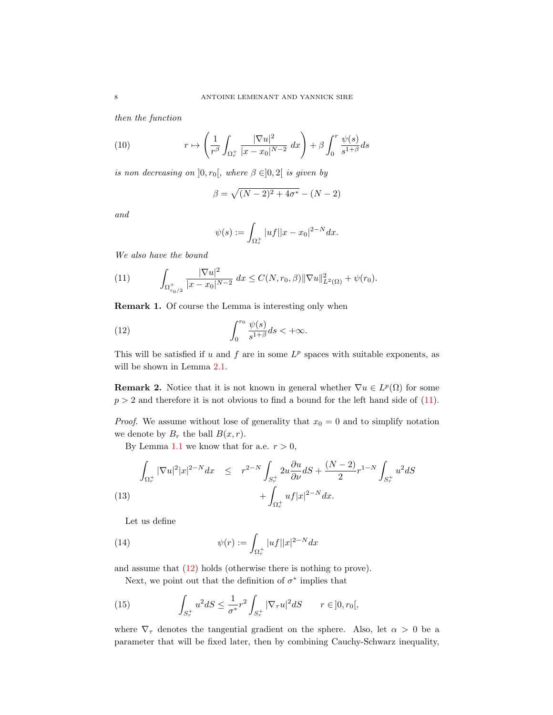then the function

(10) 
$$
r \mapsto \left(\frac{1}{r^{\beta}} \int_{\Omega_r^+} \frac{|\nabla u|^2}{|x - x_0|^{N-2}} dx\right) + \beta \int_0^r \frac{\psi(s)}{s^{1+\beta}} ds
$$

is non decreasing on  $]0, r_0[$ , where  $\beta \in ]0, 2[$  is given by

$$
\beta = \sqrt{(N-2)^2 + 4\sigma^*} - (N-2)
$$

and

<span id="page-7-2"></span>
$$
\psi(s) := \int_{\Omega_s^+} |uf| |x - x_0|^{2 - N} dx.
$$

We also have the bound

<span id="page-7-1"></span>(11) 
$$
\int_{\Omega_{r_0/2}^+} \frac{|\nabla u|^2}{|x - x_0|^{N-2}} dx \leq C(N, r_0, \beta) \|\nabla u\|_{L^2(\Omega)}^2 + \psi(r_0).
$$

Remark 1. Of course the Lemma is interesting only when

(12) 
$$
\int_0^{r_0} \frac{\psi(s)}{s^{1+\beta}} ds < +\infty.
$$

This will be satisfied if  $u$  and  $f$  are in some  $L^p$  spaces with suitable exponents, as will be shown in Lemma [2.1.](#page-9-0)

**Remark 2.** Notice that it is not known in general whether  $\nabla u \in L^p(\Omega)$  for some  $p > 2$  and therefore it is not obvious to find a bound for the left hand side of  $(11)$ .

*Proof.* We assume without lose of generality that  $x_0 = 0$  and to simplify notation we denote by  $B_r$  the ball  $B(x, r)$ .

By Lemma [1.1](#page-4-2) we know that for a.e.  $r > 0$ ,

<span id="page-7-0"></span>(13) 
$$
\int_{\Omega_r^+} |\nabla u|^2 |x|^{2-N} dx \leq r^{2-N} \int_{S_r^+} 2u \frac{\partial u}{\partial \nu} dS + \frac{(N-2)}{2} r^{1-N} \int_{S_r^+} u^2 dS + \int_{\Omega_r^+} u f |x|^{2-N} dx.
$$

Let us define

(14) 
$$
\psi(r) := \int_{\Omega_r^+} |uf||x|^{2-N} dx
$$

and assume that [\(12\)](#page-7-2) holds (otherwise there is nothing to prove).

<span id="page-7-3"></span>Next, we point out that the definition of  $\sigma^*$  implies that

(15) 
$$
\int_{S_r^+} u^2 dS \le \frac{1}{\sigma^*} r^2 \int_{S_r^+} |\nabla_\tau u|^2 dS \qquad r \in ]0, r_0[,
$$

where  $\nabla_{\tau}$  denotes the tangential gradient on the sphere. Also, let  $\alpha > 0$  be a parameter that will be fixed later, then by combining Cauchy-Schwarz inequality,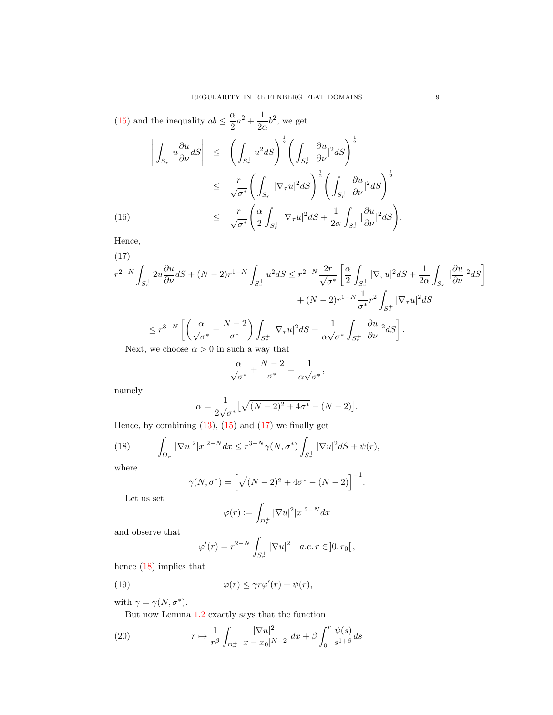[\(15\)](#page-7-3) and the inequality  $ab \leq \frac{\alpha}{2}$  $\frac{\alpha}{2}a^2 + \frac{1}{2a}$  $\frac{1}{2\alpha}b^2$ , we get  $\begin{array}{c} \hline \end{array}$ Z  $S_r^+$  $u\frac{\partial u}{\partial \nu}dS$  $\begin{array}{c} \hline \end{array}$  $\leq$   $\left( \begin{array}{c} 1 \end{array} \right)$  $S_r^+$  $u^2 dS$ <sup> $\frac{1}{2}$ </sup> $\Big($  $S_r^+$  $|\frac{\partial u}{\partial \nu}|^2 dS$ 

$$
\leq \frac{r}{\sqrt{\sigma^*}} \left( \int_{S_r^+} |\nabla_\tau u|^2 dS \right)^{\frac{1}{2}} \left( \int_{S_r^+} |\frac{\partial u}{\partial \nu}|^2 dS \right)^{\frac{1}{2}} \leq \frac{r}{\sqrt{\sigma^*}} \left( \frac{\alpha}{2} \int_{S_r^+} |\nabla_\tau u|^2 dS + \frac{1}{2\alpha} \int_{S_r^+} |\frac{\partial u}{\partial \nu}|^2 dS \right).
$$

Hence,

<span id="page-8-0"></span>(17)  
\n
$$
r^{2-N} \int_{S_r^{\pm}} 2u \frac{\partial u}{\partial \nu} dS + (N-2)r^{1-N} \int_{S_r^{\pm}} u^2 dS \leq r^{2-N} \frac{2r}{\sqrt{\sigma^*}} \left[ \frac{\alpha}{2} \int_{S_r^{\pm}} |\nabla_{\tau} u|^2 dS + \frac{1}{2\alpha} \int_{S_r^{\pm}} |\frac{\partial u}{\partial \nu}|^2 dS \right] + (N-2)r^{1-N} \frac{1}{\sigma^*} r^2 \int_{S_r^{\pm}} |\nabla_{\tau} u|^2 dS
$$
\n
$$
\leq r^{3-N} \left[ \left( \frac{\alpha}{\sqrt{\sigma^*}} + \frac{N-2}{\sigma^*} \right) \int_{S_r^{\pm}} |\nabla_{\tau} u|^2 dS + \frac{1}{\alpha \sqrt{\sigma^*}} \int_{S_r^{\pm}} |\frac{\partial u}{\partial \nu}|^2 dS \right].
$$
\nNext we choose  $\alpha > 0$  in such a way that

Next, we choose  $\alpha > 0$  in such a way that

$$
\frac{\alpha}{\sqrt{\sigma^*}} + \frac{N-2}{\sigma^*} = \frac{1}{\alpha\sqrt{\sigma^*}},
$$

namely

$$
\alpha = \frac{1}{2\sqrt{\sigma^*}} \left[ \sqrt{(N-2)^2 + 4\sigma^*} - (N-2) \right].
$$

Hence, by combining  $(13)$ ,  $(15)$  and  $(17)$  we finally get

(18) 
$$
\int_{\Omega_r^+} |\nabla u|^2 |x|^{2-N} dx \leq r^{3-N} \gamma(N, \sigma^*) \int_{S_r^+} |\nabla u|^2 dS + \psi(r),
$$

where

<span id="page-8-1"></span>
$$
\gamma(N, \sigma^*) = \left[\sqrt{(N-2)^2 + 4\sigma^*} - (N-2)\right]^{-1}.
$$

Let us set

$$
\varphi(r) := \int_{\Omega_r^+} |\nabla u|^2 |x|^{2-N} dx
$$

and observe that

$$
\varphi'(r) = r^{2-N} \int_{S_r^+} |\nabla u|^2 \quad a.e. \ r \in ]0, r_0[,
$$

hence [\(18\)](#page-8-1) implies that

(19) 
$$
\varphi(r) \leq \gamma r \varphi'(r) + \psi(r),
$$

with  $\gamma = \gamma(N, \sigma^*)$ .

<span id="page-8-2"></span>But now Lemma [1.2](#page-6-1) exactly says that the function

(20) 
$$
r \mapsto \frac{1}{r^{\beta}} \int_{\Omega_r^+} \frac{|\nabla u|^2}{|x - x_0|^{N-2}} dx + \beta \int_0^r \frac{\psi(s)}{s^{1+\beta}} ds
$$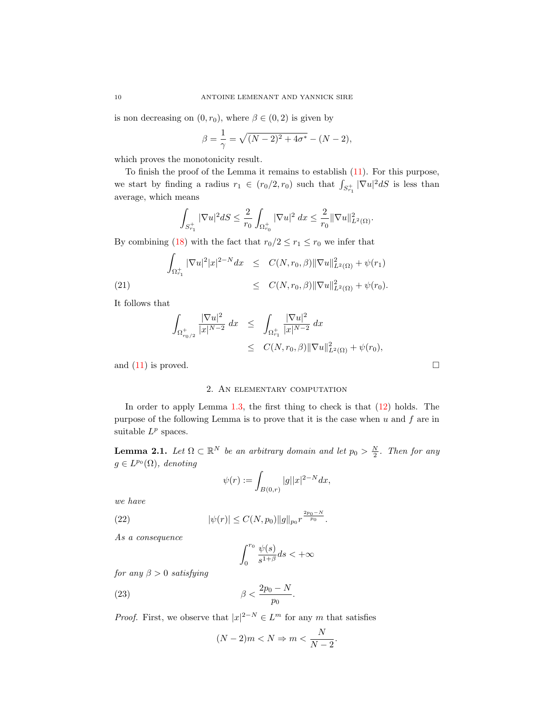is non decreasing on  $(0, r_0)$ , where  $\beta \in (0, 2)$  is given by

$$
\beta = \frac{1}{\gamma} = \sqrt{(N-2)^2 + 4\sigma^*} - (N-2),
$$

which proves the monotonicity result.

To finish the proof of the Lemma it remains to establish [\(11\)](#page-7-1). For this purpose, we start by finding a radius  $r_1 \in (r_0/2, r_0)$  such that  $\int_{S_{r_1}^+} |\nabla u|^2 dS$  is less than average, which means

$$
\int_{S_{r_1}^+} |\nabla u|^2 dS \leq \frac{2}{r_0} \int_{\Omega_{r_0}^+} |\nabla u|^2 dx \leq \frac{2}{r_0} \|\nabla u\|_{L^2(\Omega)}^2.
$$

By combining [\(18\)](#page-8-1) with the fact that  $r_0/2 \le r_1 \le r_0$  we infer that

(21)  

$$
\int_{\Omega_{r_1}^+} |\nabla u|^2 |x|^{2-N} dx \leq C(N, r_0, \beta) ||\nabla u||^2_{L^2(\Omega)} + \psi(r_1)
$$

$$
\leq C(N, r_0, \beta) ||\nabla u||^2_{L^2(\Omega)} + \psi(r_0).
$$

It follows that

$$
\int_{\Omega_{r_0/2}^+} \frac{|\nabla u|^2}{|x|^{N-2}} dx \le \int_{\Omega_{r_1}^+} \frac{|\nabla u|^2}{|x|^{N-2}} dx
$$
  
\n
$$
\le C(N, r_0, \beta) ||\nabla u||^2_{L^2(\Omega)} + \psi(r_0),
$$

and  $(11)$  is proved.

#### 2. An elementary computation

In order to apply Lemma [1.3,](#page-6-2) the first thing to check is that [\(12\)](#page-7-2) holds. The purpose of the following Lemma is to prove that it is the case when  $u$  and  $f$  are in suitable  $L^p$  spaces.

<span id="page-9-0"></span>**Lemma 2.1.** Let  $\Omega \subset \mathbb{R}^N$  be an arbitrary domain and let  $p_0 > \frac{N}{2}$ . Then for any  $g \in L^{p_0}(\Omega)$ , denoting

$$
\psi(r) := \int_{B(0,r)} |g| |x|^{2-N} dx,
$$

we have

(22) 
$$
|\psi(r)| \leq C(N, p_0) \|g\|_{p_0} r^{\frac{2p_0 - N}{p_0}}.
$$

As a consequence

<span id="page-9-1"></span>
$$
\int_0^{r_0} \frac{\psi(s)}{s^{1+\beta}} ds < +\infty
$$

for any  $\beta > 0$  satisfying

$$
\beta < \frac{2p_0 - N}{p_0}.
$$

*Proof.* First, we observe that  $|x|^{2-N} \in L^m$  for any m that satisfies

$$
(N-2)m < N \Rightarrow m < \frac{N}{N-2}.
$$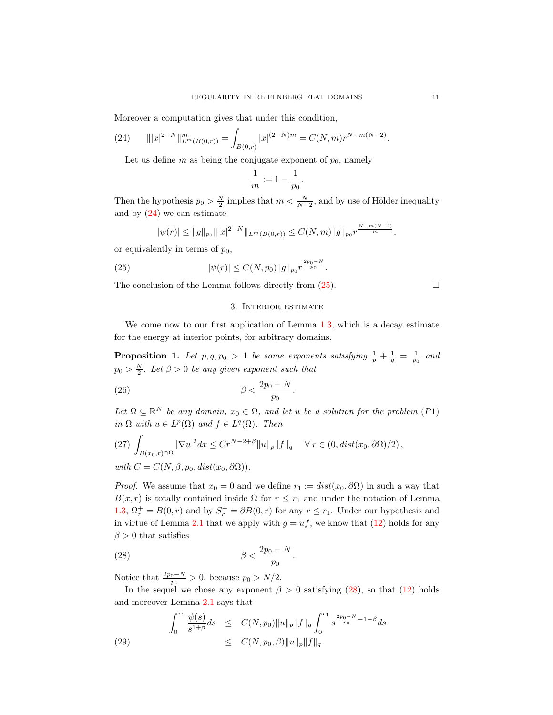Moreover a computation gives that under this condition,

(24) 
$$
||x|^{2-N}||_{L^m(B(0,r))}^m = \int_{B(0,r)} |x|^{(2-N)m} = C(N,m)r^{N-m(N-2)}.
$$

<span id="page-10-0"></span>Let us define  $m$  as being the conjugate exponent of  $p_0$ , namely

$$
\frac{1}{m} := 1 - \frac{1}{p_0}.
$$

Then the hypothesis  $p_0 > \frac{N}{2}$  implies that  $m < \frac{N}{N-2}$ , and by use of Hölder inequality and by  $(24)$  we can estimate

$$
|\psi(r)| \le ||g||_{p_0}|||x|^{2-N}||_{L^m(B(0,r))} \le C(N,m)||g||_{p_0}r^{\frac{N-m(N-2)}{m}},
$$

or equivalently in terms of  $p_0$ ,

(25) 
$$
|\psi(r)| \leq C(N, p_0) \|g\|_{p_0} r^{\frac{2p_0 - N}{p_0}}.
$$

The conclusion of the Lemma follows directly from  $(25)$ .

## <span id="page-10-1"></span>3. Interior estimate

We come now to our first application of Lemma [1.3,](#page-6-2) which is a decay estimate for the energy at interior points, for arbitrary domains.

<span id="page-10-5"></span>**Proposition 1.** Let  $p, q, p_0 > 1$  be some exponents satisfying  $\frac{1}{p} + \frac{1}{q} = \frac{1}{p_0}$  and  $p_0 > \frac{N}{2}$ . Let  $\beta > 0$  be any given exponent such that

$$
\beta < \frac{2p_0 - N}{p_0}.
$$

Let  $\Omega \subseteq \mathbb{R}^N$  be any domain,  $x_0 \in \Omega$ , and let u be a solution for the problem (P1) in  $\Omega$  with  $u \in L^p(\Omega)$  and  $f \in L^q(\Omega)$ . Then

<span id="page-10-3"></span>(27) 
$$
\int_{B(x_0,r)\cap\Omega} |\nabla u|^2 dx \leq Cr^{N-2+\beta} ||u||_p ||f||_q \quad \forall r \in (0, dist(x_0, \partial \Omega)/2),
$$
  
with  $C = C(N, \beta, p_0, dist(x_0, \partial \Omega)).$ 

*Proof.* We assume that  $x_0 = 0$  and we define  $r_1 := dist(x_0, \partial \Omega)$  in such a way that  $B(x, r)$  is totally contained inside  $\Omega$  for  $r \leq r_1$  and under the notation of Lemma [1.3,](#page-6-2)  $\Omega_r^+ = B(0, r)$  and by  $S_r^+ = \partial B(0, r)$  for any  $r \leq r_1$ . Under our hypothesis and in virtue of Lemma [2.1](#page-9-0) that we apply with  $g = uf$ , we know that [\(12\)](#page-7-2) holds for any  $\beta > 0$  that satisfies

<span id="page-10-2"></span>
$$
\beta < \frac{2p_0 - N}{p_0}.
$$

Notice that  $\frac{2p_0-N}{p_0} > 0$ , because  $p_0 > N/2$ .

In the sequel we chose any exponent  $\beta > 0$  satisfying [\(28\)](#page-10-2), so that [\(12\)](#page-7-2) holds and moreover Lemma [2.1](#page-9-0) says that

<span id="page-10-4"></span>(29) 
$$
\int_0^{r_1} \frac{\psi(s)}{s^{1+\beta}} ds \leq C(N, p_0) \|u\|_p \|f\|_q \int_0^{r_1} s^{\frac{2p_0 - N}{p_0} - 1 - \beta} ds
$$

$$
\leq C(N, p_0, \beta) \|u\|_p \|f\|_q.
$$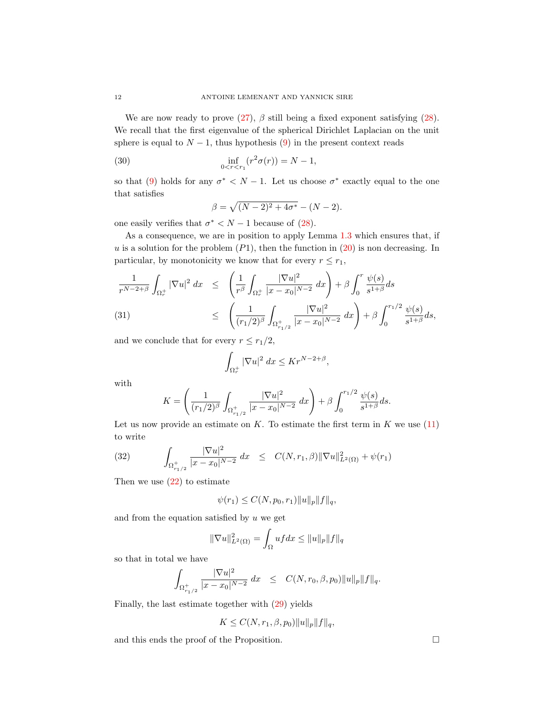We are now ready to prove  $(27)$ ,  $\beta$  still being a fixed exponent satisfying  $(28)$ . We recall that the first eigenvalue of the spherical Dirichlet Laplacian on the unit sphere is equal to  $N-1$ , thus hypothesis [\(9\)](#page-6-3) in the present context reads

(30) 
$$
\inf_{0 < r < r_1} (r^2 \sigma(r)) = N - 1,
$$

so that [\(9\)](#page-6-3) holds for any  $\sigma^* < N - 1$ . Let us choose  $\sigma^*$  exactly equal to the one that satisfies

<span id="page-11-0"></span>
$$
\beta = \sqrt{(N-2)^2 + 4\sigma^*} - (N-2).
$$

one easily verifies that  $\sigma^* < N - 1$  because of [\(28\)](#page-10-2).

As a consequence, we are in position to apply Lemma [1.3](#page-6-2) which ensures that, if  $u$  is a solution for the problem  $(P1)$ , then the function in  $(20)$  is non decreasing. In particular, by monotonicity we know that for every  $r \leq r_1$ ,

$$
\frac{1}{r^{N-2+\beta}} \int_{\Omega_r^+} |\nabla u|^2 \, dx \le \left( \frac{1}{r^{\beta}} \int_{\Omega_r^+} \frac{|\nabla u|^2}{|x - x_0|^{N-2}} \, dx \right) + \beta \int_0^r \frac{\psi(s)}{s^{1+\beta}} ds
$$
\n(31)\n
$$
\le \left( \frac{1}{(r_1/2)^{\beta}} \int_{\Omega_{r_1/2}^+} \frac{|\nabla u|^2}{|x - x_0|^{N-2}} \, dx \right) + \beta \int_0^{r_1/2} \frac{\psi(s)}{s^{1+\beta}} ds,
$$

and we conclude that for every  $r \leq r_1/2$ ,

$$
\int_{\Omega_r^+} |\nabla u|^2 \, dx \leq K r^{N-2+\beta},
$$

with

$$
K = \left(\frac{1}{(r_1/2)^{\beta}} \int_{\Omega_{r_1/2}^+} \frac{|\nabla u|^2}{|x - x_0|^{N-2}} dx\right) + \beta \int_0^{r_1/2} \frac{\psi(s)}{s^{1+\beta}} ds.
$$

Let us now provide an estimate on K. To estimate the first term in K we use  $(11)$ to write

(32) 
$$
\int_{\Omega_{r_1/2}^+} \frac{|\nabla u|^2}{|x - x_0|^{N-2}} dx \leq C(N, r_1, \beta) \|\nabla u\|_{L^2(\Omega)}^2 + \psi(r_1)
$$

Then we use  $(22)$  to estimate

$$
\psi(r_1)\leq C(N,p_0,r_1)\|u\|_p\|f\|_q,
$$

and from the equation satisfied by  $u$  we get

$$
\|\nabla u\|_{L^2(\Omega)}^2 = \int_{\Omega} uf dx \le \|u\|_p \|f\|_q
$$

so that in total we have

$$
\int_{\Omega_{r_1/2}^+} \frac{|\nabla u|^2}{|x-x_0|^{N-2}}\;dx \;\;\leq\;\; C(N,r_0,\beta,p_0)\|u\|_p\|f\|_q.
$$

Finally, the last estimate together with [\(29\)](#page-10-4) yields

$$
K \leq C(N, r_1, \beta, p_0) \|u\|_p \|f\|_q,
$$

and this ends the proof of the Proposition.  $\Box$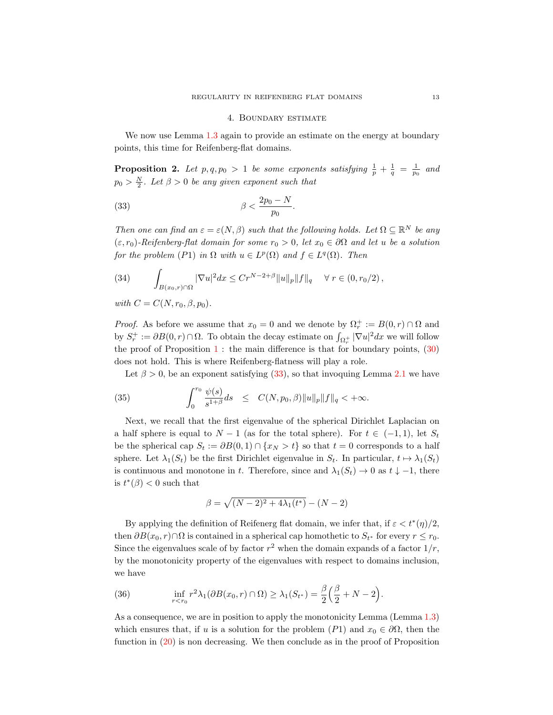#### <span id="page-12-0"></span>4. Boundary estimate

We now use Lemma [1.3](#page-6-2) again to provide an estimate on the energy at boundary points, this time for Reifenberg-flat domains.

<span id="page-12-2"></span>**Proposition 2.** Let  $p, q, p_0 > 1$  be some exponents satisfying  $\frac{1}{p} + \frac{1}{q} = \frac{1}{p_0}$  and  $p_0 > \frac{N}{2}$ . Let  $\beta > 0$  be any given exponent such that

$$
\beta < \frac{2p_0 - N}{p_0}.
$$

Then one can find an  $\varepsilon = \varepsilon(N, \beta)$  such that the following holds. Let  $\Omega \subseteq \mathbb{R}^N$  be any  $(\varepsilon, r_0)$ -Reifenberg-flat domain for some  $r_0 > 0$ , let  $x_0 \in \partial\Omega$  and let u be a solution for the problem (P1) in  $\Omega$  with  $u \in L^p(\Omega)$  and  $f \in L^q(\Omega)$ . Then

(34) 
$$
\int_{B(x_0,r)\cap\Omega} |\nabla u|^2 dx \leq Cr^{N-2+\beta} ||u||_p ||f||_q \quad \forall r \in (0,r_0/2),
$$

with  $C = C(N, r_0, \beta, p_0)$ .

*Proof.* As before we assume that  $x_0 = 0$  and we denote by  $\Omega_r^+ := B(0, r) \cap \Omega$  and by  $S_r^+ := \partial B(0, r) \cap \Omega$ . To obtain the decay estimate on  $\int_{\Omega_r^+} |\nabla u|^2 dx$  we will follow the proof of Proposition  $1$ : the main difference is that for boundary points,  $(30)$ does not hold. This is where Reifenberg-flatness will play a role.

<span id="page-12-1"></span>Let  $\beta > 0$ , be an exponent satisfying [\(33\)](#page-12-0), so that invoquing Lemma [2.1](#page-9-0) we have

(35) 
$$
\int_0^{r_0} \frac{\psi(s)}{s^{1+\beta}} ds \leq C(N, p_0, \beta) \|u\|_p \|f\|_q < +\infty.
$$

Next, we recall that the first eigenvalue of the spherical Dirichlet Laplacian on a half sphere is equal to  $N-1$  (as for the total sphere). For  $t \in (-1,1)$ , let  $S_t$ be the spherical cap  $S_t := \partial B(0,1) \cap \{x_N > t\}$  so that  $t = 0$  corresponds to a half sphere. Let  $\lambda_1(S_t)$  be the first Dirichlet eigenvalue in  $S_t$ . In particular,  $t \mapsto \lambda_1(S_t)$ is continuous and monotone in t. Therefore, since and  $\lambda_1(S_t) \to 0$  as  $t \downarrow -1$ , there is  $t^*(\beta) < 0$  such that

$$
\beta = \sqrt{(N-2)^2 + 4\lambda_1(t^*)} - (N-2)
$$

By applying the definition of Reifenerg flat domain, we infer that, if  $\varepsilon < t^*(\eta)/2$ , then  $\partial B(x_0, r) \cap \Omega$  is contained in a spherical cap homothetic to  $S_{t^*}$  for every  $r \leq r_0$ . Since the eigenvalues scale of by factor  $r^2$  when the domain expands of a factor  $1/r$ , by the monotonicity property of the eigenvalues with respect to domains inclusion, we have

(36) 
$$
\inf_{r < r_0} r^2 \lambda_1(\partial B(x_0, r) \cap \Omega) \geq \lambda_1(S_{t^*}) = \frac{\beta}{2} \left( \frac{\beta}{2} + N - 2 \right).
$$

As a consequence, we are in position to apply the monotonicity Lemma (Lemma [1.3\)](#page-6-2) which ensures that, if u is a solution for the problem  $(P1)$  and  $x_0 \in \partial\Omega$ , then the function in [\(20\)](#page-8-2) is non decreasing. We then conclude as in the proof of Proposition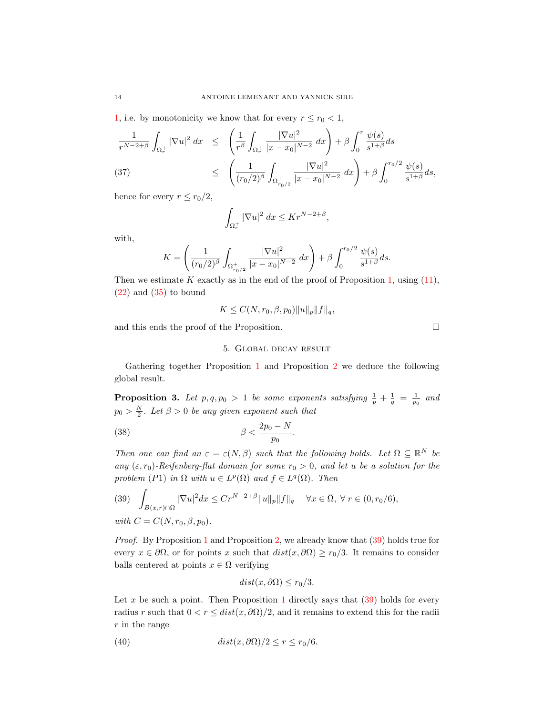[1,](#page-10-5) i.e. by monotonicity we know that for every  $r \le r_0 < 1$ ,

$$
\frac{1}{r^{N-2+\beta}} \int_{\Omega_r^+} |\nabla u|^2 dx \le \left( \frac{1}{r^{\beta}} \int_{\Omega_r^+} \frac{|\nabla u|^2}{|x - x_0|^{N-2}} dx \right) + \beta \int_0^r \frac{\psi(s)}{s^{1+\beta}} ds
$$
\n(37)\n
$$
\le \left( \frac{1}{(r_0/2)^{\beta}} \int_{\Omega_{r_0/2}^+} \frac{|\nabla u|^2}{|x - x_0|^{N-2}} dx \right) + \beta \int_0^{r_0/2} \frac{\psi(s)}{s^{1+\beta}} ds,
$$

hence for every  $r \leq r_0/2$ ,

$$
\int_{\Omega_r^+} |\nabla u|^2 \, dx \leq K r^{N-2+\beta},
$$

with,

$$
K = \left(\frac{1}{(r_0/2)^{\beta}} \int_{\Omega_{r_0/2}^+} \frac{|\nabla u|^2}{|x - x_0|^{N-2}} dx\right) + \beta \int_0^{r_0/2} \frac{\psi(s)}{s^{1+\beta}} ds.
$$

Then we estimate K exactly as in the end of the proof of Proposition [1,](#page-10-5) using  $(11)$ , [\(22\)](#page-9-1) and [\(35\)](#page-12-1) to bound

$$
K \leq C(N, r_0, \beta, p_0) \|u\|_p \|f\|_q,
$$

and this ends the proof of the Proposition.  $\Box$ 

5. Global decay result

Gathering together Proposition [1](#page-10-5) and Proposition [2](#page-12-2) we deduce the following global result.

<span id="page-13-2"></span>**Proposition 3.** Let  $p, q, p_0 > 1$  be some exponents satisfying  $\frac{1}{p} + \frac{1}{q} = \frac{1}{p_0}$  and  $p_0 > \frac{N}{2}$ . Let  $\beta > 0$  be any given exponent such that

$$
\beta < \frac{2p_0 - N}{p_0}.
$$

Then one can find an  $\varepsilon = \varepsilon(N, \beta)$  such that the following holds. Let  $\Omega \subseteq \mathbb{R}^N$  be any  $(\varepsilon, r_0)$ -Reifenberg-flat domain for some  $r_0 > 0$ , and let u be a solution for the problem (P1) in  $\Omega$  with  $u \in L^p(\Omega)$  and  $f \in L^q(\Omega)$ . Then

<span id="page-13-0"></span>(39) 
$$
\int_{B(x,r)\cap\Omega} |\nabla u|^2 dx \le Cr^{N-2+\beta} ||u||_p ||f||_q \quad \forall x \in \overline{\Omega}, \ \forall \ r \in (0, r_0/6),
$$
  
with  $C = C(N, r_0, \beta, p_0).$ 

Proof. By Proposition [1](#page-10-5) and Proposition [2,](#page-12-2) we already know that [\(39\)](#page-13-0) holds true for every  $x \in \partial\Omega$ , or for points x such that  $dist(x, \partial\Omega) \ge r_0/3$ . It remains to consider balls centered at points  $x \in \Omega$  verifying

<span id="page-13-1"></span>
$$
dist(x, \partial \Omega) \le r_0/3.
$$

Let x be such a point. Then Proposition [1](#page-10-5) directly says that  $(39)$  holds for every radius r such that  $0 < r \leq dist(x, \partial \Omega)/2$ , and it remains to extend this for the radii  $r$  in the range

(40) 
$$
dist(x, \partial \Omega)/2 \le r \le r_0/6.
$$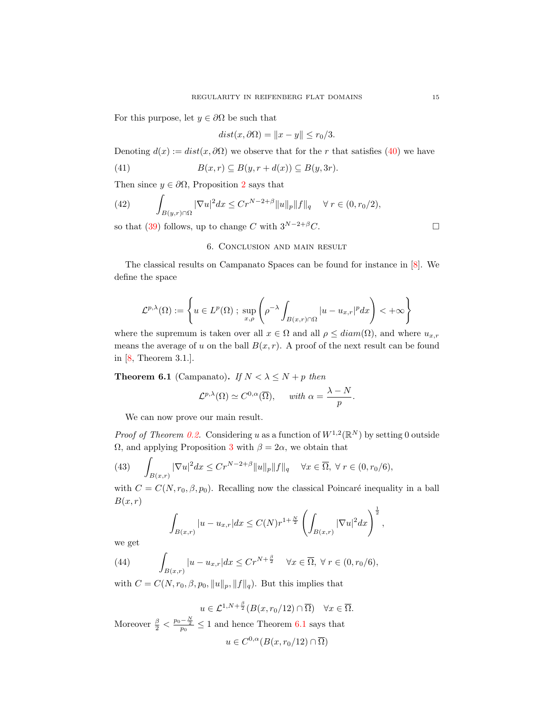For this purpose, let  $y \in \partial \Omega$  be such that

$$
dist(x, \partial \Omega) = ||x - y|| \le r_0/3.
$$

Denoting  $d(x) := dist(x, \partial \Omega)$  we observe that for the r that satisfies [\(40\)](#page-13-1) we have

(41) 
$$
B(x,r) \subseteq B(y,r+d(x)) \subseteq B(y,3r).
$$

Then since  $y \in \partial \Omega$ , Proposition [2](#page-12-2) says that

(42) 
$$
\int_{B(y,r)\cap\Omega} |\nabla u|^2 dx \leq Cr^{N-2+\beta} ||u||_p ||f||_q \quad \forall r \in (0, r_0/2),
$$

so that [\(39\)](#page-13-0) follows, up to change C with  $3^{N-2+\beta}C$ .

## 6. Conclusion and main result

The classical results on Campanato Spaces can be found for instance in [\[8\]](#page-15-19). We define the space

$$
\mathcal{L}^{p,\lambda}(\Omega) := \left\{ u \in L^p(\Omega) \; ; \; \sup_{x,\rho} \left( \rho^{-\lambda} \int_{B(x,r) \cap \Omega} |u - u_{x,r}|^p dx \right) < +\infty \right\}
$$

where the supremum is taken over all  $x \in \Omega$  and all  $\rho \leq diam(\Omega)$ , and where  $u_{x,r}$ means the average of u on the ball  $B(x, r)$ . A proof of the next result can be found in [\[8,](#page-15-19) Theorem 3.1.].

<span id="page-14-0"></span>**Theorem 6.1** (Campanato). If  $N < \lambda \leq N + p$  then

$$
\mathcal{L}^{p,\lambda}(\Omega) \simeq C^{0,\alpha}(\overline{\Omega}), \quad \text{ with } \alpha = \frac{\lambda - N}{p}.
$$

We can now prove our main result.

*Proof of Theorem [0.2.](#page-1-0)* Considering u as a function of  $W^{1,2}(\mathbb{R}^N)$  by setting 0 outside  $Ω$ , and applying Proposition [3](#page-13-2) with  $β = 2α$ , we obtain that

Z  $B(x,r)$ (43)  $\int \nabla u|^2 dx \leq C r^{N-2+\beta} \|u\|_p \|f\|_q \quad \forall x \in \overline{\Omega}, \ \forall \ r \in (0, r_0/6),$ 

with  $C = C(N, r_0, \beta, p_0)$ . Recalling now the classical Poincaré inequality in a ball  $B(x,r)$ 

$$
\int_{B(x,r)} |u - u_{x,r}| dx \le C(N) r^{1 + \frac{N}{2}} \left( \int_{B(x,r)} |\nabla u|^2 dx \right)^{\frac{1}{2}},
$$

we get

(44) 
$$
\int_{B(x,r)} |u - u_{x,r}| dx \leq C r^{N + \frac{\beta}{2}} \quad \forall x \in \overline{\Omega}, \ \forall \ r \in (0, r_0/6),
$$

with  $C = C(N, r_0, \beta, p_0, ||u||_p, ||f||_q)$ . But this implies that

$$
u \in \mathcal{L}^{1,N+\frac{\beta}{2}}(B(x, r_0/12) \cap \overline{\Omega}) \quad \forall x \in \overline{\Omega}.
$$
  
Moreover  $\frac{\beta}{2} < \frac{p_0 - \frac{N}{2}}{p_0} \le 1$  and hence Theorem 6.1 says that  

$$
u \in C^{0,\alpha}(B(x, r_0/12) \cap \overline{\Omega})
$$